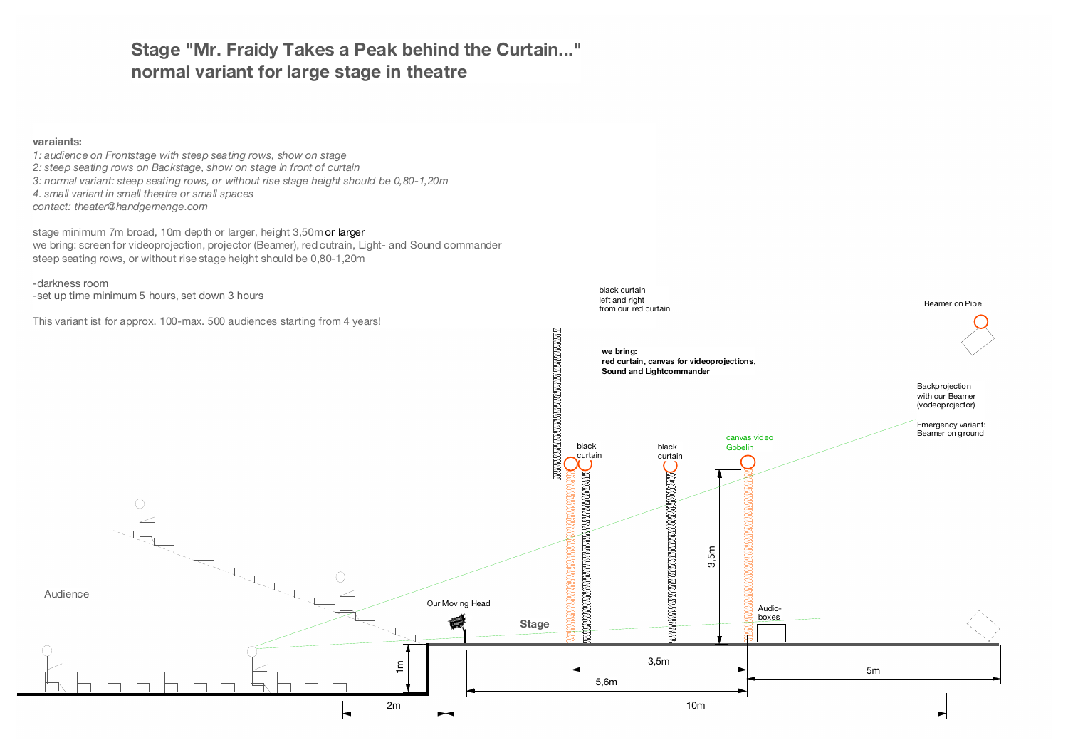## **Stage "Mr. Fraidy Takes a Peak behind the Curtain..." normal variant for large stage in theatre**

#### **varaiants:**

*1: audience on Frontstage with steep seating rows, show on stage 2: steep seating rows on Backstage, show on stage in front of curtain 3: normal variant: steep seating rows, or without rise stage height should be 0,80-1,20m 4. small variant in small theatre or small spaces contact: theater@handgemenge.com*

stage minimum 7m broad, 10m depth or larger, height 3,50m or larger we bring: screen for videoprojection, projector (Beamer), red cutrain, Light- and Sound commander steep seating rows, or without rise stage height should be 0,80-1,20m

-darkness room -set up time minimum 5 hours, set down 3 hours

This variant ist for approx. 100-max. 500 audiences starting from 4 years!

from our red curtain

black curtain left and right

Beamer on Pipe

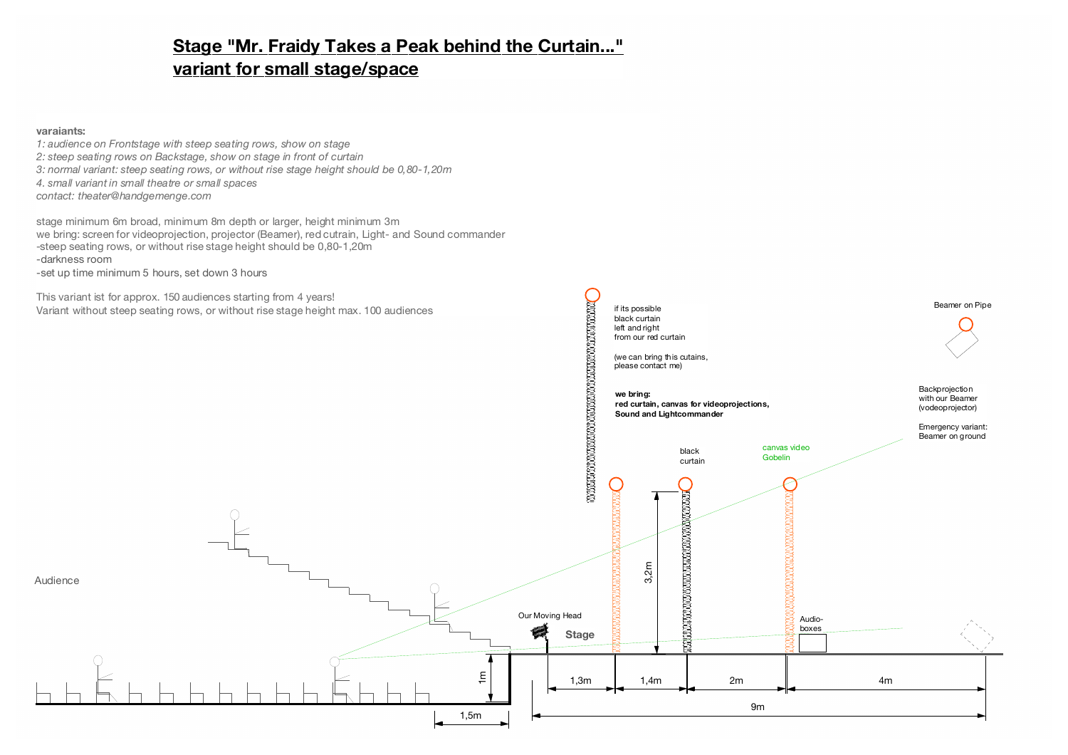# **Stage "Mr. Fraidy Takes a Peak behind the Curtain..." variant for small stage/space**

### **varaiants:**

*1: audience on Frontstage with steep seating rows, show on stage 2: steep seating rows on Backstage, show on stage in front of curtain 3: normal variant: steep seating rows, or without rise stage height should be 0,80-1,20m 4. small variant in small theatre or small spaces contact: theater@handgemenge.com*

stage minimum 6m broad, minimum 8m depth or larger, height minimum 3m we bring: screen for videoprojection, projector (Beamer), red cutrain, Light- and Sound commander -steep seating rows, or without rise stage height should be 0,80-1,20m -darkness room -set up time minimum 5 hours, set down 3 hours

This variant ist for approx. 150 audiences starting from 4 years! Variant without steep seating rows, or without rise stage height max. 100 audiences